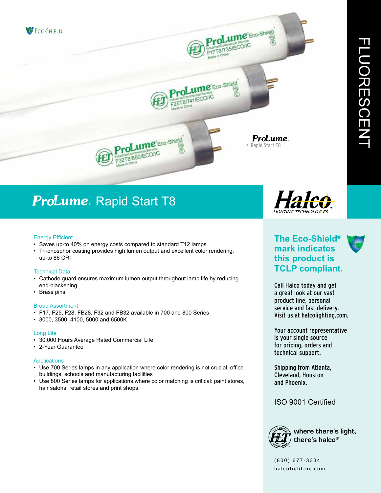

## ProLume. Rapid Start T8

#### Energy Efficient

- Saves up-to 40% on energy costs compared to standard T12 lamps
- Tri-phosphor coating provides high lumen output and excellent color rendering, up-to 86 CRI

#### Technical Data

- Cathode guard ensures maximum lumen output throughout lamp life by reducing end-blackening
- Brass pins

#### Broad Assortment

- F17, F25, F28, FB28, F32 and FB32 available in 700 and 800 Series
- 3000, 3500, 4100, 5000 and 6500K

#### Long Life

- 30,000 Hours Average Rated Commercial Life
- 2-Year Guarantee

#### Applications

- Use 700 Series lamps in any application where color rendering is not crucial: office buildings, schools and manufacturing facilities
- Use 800 Series lamps for applications where color matching is critical: paint stores, hair salons, retail stores and print shops



## **The Eco-Shield® mark indicates this product is TCLP compliant.**

Call Halco today and get a great look at our vast product line, personal service and fast delivery. Visit us at halcolighting.com.

Your account representative is your single source for pricing, orders and technical support.

Shipping from Atlanta, Cleveland, Houston and Phoenix.

### ISO 9001 Certified



(800) 677-3334 halcolighting.com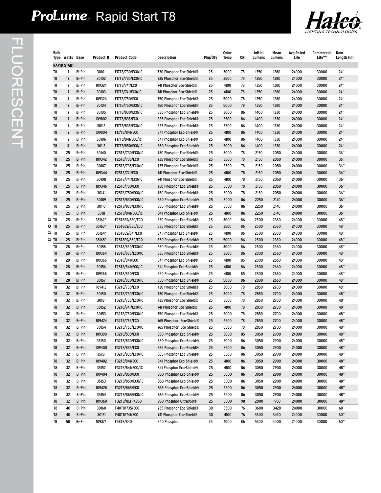# P**roLume**. Rapid Start T8



|      | Bulb | Type Watts Base    |               | Product # | <b>Product Code</b>   | Description                          | Pkg/Qty | Color<br><b>Temp</b> | CRI | Initial<br>Lumens | Mean<br>Lumens | Avg Rated<br>Life | Commercial<br>Life** | Nom<br>Length (in) |
|------|------|--------------------|---------------|-----------|-----------------------|--------------------------------------|---------|----------------------|-----|-------------------|----------------|-------------------|----------------------|--------------------|
|      |      | <b>RAPID START</b> |               |           |                       |                                      |         |                      |     |                   |                |                   |                      |                    |
| T8   |      | 17                 | Bi-Pin        | 30101     | F17T8/730/EC0/IC      | 730 Phosphor Eco-Shield®             | 25      | 3000                 | 78  | 1350              | 1280           | 24000             | 30000                | 24"                |
| T8   |      | 17                 | <b>Bi-Pin</b> | 30102     | F17T8/735/EC0/IC      | 735 Phosphor Eco-Shield®             | 25      | 3500                 | 78  | 1350              | 1280           | 24000             | 30000                | 24"                |
| T8   |      | 17                 | <b>Bi-Pin</b> | 109324    | F17T8/741/ECO         | 741 Phosphor Eco-Shield®             | 25      | 4100                 | 78  | 1350              | 1280           | 24000             | 30000                | 24"                |
| T8   |      | 17                 | <b>Bi-Pin</b> | 30103     | F17T8/741/ECO/IC      | 741 Phosphor Eco-Shield <sup>®</sup> | 25      | 4100                 | 78  | 1350              | 1280           | 24000             | 30000                | 24"                |
| T8   |      | 17                 | <b>Bi-Pin</b> | 109326    | F17T8/750/EC0         | 750 Phosphor Eco-Shield®             | 25      | 5000                 | 78  | 1350              | 1280           | 24000             | 30000                | 24"                |
| T8   |      | 17                 | <b>Bi-Pin</b> | 30104     | F17T8/750/EC0/IC      | 750 Phosphor Eco-Shield®             | 25      | 5000                 | 78  | 1350              | 1280           | 24000             | 30000                | 24"                |
| T8   |      | 17                 | Bi-Pin        | 30105     | F17T8/830/EC0/IC      | 830 Phosphor Eco-Shield®             | 25      | 3000                 | 86  | 1400              | 1330           | 24000             | 30000                | 24"                |
| T8   |      | 17                 | <b>Bi-Pin</b> | 109802    | F17T8/835/ECO         | 835 Phosphor Eco-Shield <sup>®</sup> | 25      | 3500                 | 86  | 1400              | 1330           | 24000             | 30000                | 24"                |
| T8   |      | 17                 | <b>Bi-Pin</b> | 30112     | F17T8/835/EC0/IC      | 835 Phosphor Eco-Shield®             | 25      | 3500                 | 86  | 1400              | 1330           | 24000             | 30000                | 24"                |
| T8   |      | 17                 | <b>Bi-Pin</b> | 109804    | F17/T8/841/ECO        | 841 Phosphor Eco-Shield®             | 25      | 4100                 | 86  | 1400              | 1330           | 24000             | 30000                | 24"                |
| T8   |      | 17                 | <b>Bi-Pin</b> | 30106     | F17T8/841/ECO/IC      | 841 Phosphor Eco-Shield®             | 25      | 4100                 | 86  | 1400              | 1330           | 24000             | 30000                | 24"                |
| T8   |      | 17                 | <b>Bi-Pin</b> | 30113     | F17T8/850/EC0/IC      | 850 Phosphor Eco-Shield®             | 25      | 5000                 | 86  | 1400              | 1330           | 24000             | 30000                | 24"                |
| T8   |      | 25                 | <b>Bi-Pin</b> | 30140     | F25T8/730/EC0/IC      | 730 Phosphor Eco-Shield®             | 25      | 3000                 | 78  | 2150              | 2050           | 24000             | 30000                | 36"                |
| T8   |      | 25                 | <b>Bi-Pin</b> | 109342    | F25T8/735/EC0         | 735 Phosphor Eco-Shield®             | 25      | 3500                 | 78  | 2150              | 2050           | 24000             | 30000                | 36"                |
| T8   |      | 25                 | <b>Bi-Pin</b> | 30107     | F25T8/735/EC0/IC      | 735 Phosphor Eco-Shield®             | 25      | 3500                 | 78  | 2150              | 2050           | 24000             | 30000                | 36"                |
| T8   |      | 25                 | <b>Bi-Pin</b> | 109344    | F25T8/741/ECO         | 741 Phosphor Eco-Shield®             | 25      | 4100                 | 78  | 2150              | 2050           | 24000             | 30000                | 36"                |
| T8   |      | 25                 | <b>Bi-Pin</b> | 30108     | F25T8/741/ECO/IC      | 741 Phosphor Eco-Shield®             | 25      | 4100                 | 78  | 2150              | 2050           | 24000             | 30000                | 36"                |
| T8   |      | 25                 | <b>Bi-Pin</b> | 109346    | F25T8/750/EC0         | 750 Phosphor Eco-Shield®             | 25      | 5000                 | 78  | 2150              | 2050           | 24000             | 30000                | 36"                |
| T8   |      | 25                 | <b>Bi-Pin</b> | 30141     | F25T8/750/EC0/IC      | 750 Phosphor Eco-Shield®             | 25      | 5000                 | 78  | 2150              | 2050           | 24000             | 30000                | 36"                |
| T8   |      | 25                 | <b>Bi-Pin</b> | 30109     | F25T8/830/EC0/IC      | 830 Phosphor Eco-Shield®             | 25      | 3000                 | 86  | 2250              | 2140           | 24000             | 30000                | 36"                |
| T8   |      | 25                 | Bi-Pin        | 30110     | F25T8/835/EC0/IC      | 835 Phosphor Eco-Shield®             | 25      | 3500                 | 86  | 2250              | 2140           | 24000             | 30000                | 36"                |
| T8   |      | 25                 | <b>Bi-Pin</b> | 30111     | F25T8/841/EC0/IC      | 841 Phosphor Eco-Shield®             | 25      | 4100                 | 86  | 2250              | 2140           | 24000             | 30000                | 36"                |
| O 78 |      | 25                 | <b>Bi-Pin</b> | 35162^    | F25T8ES/830/EC0       | 830 Phosphor Eco-Shield®             | 25      | 3000                 | 86  | 2500              | 2380           | 24000             | 30000                | 48"                |
| O 78 |      | 25                 | <b>Bi-Pin</b> | 35163^    | F25T8ES/835/ECO       | 835 Phosphor Eco-Shield®             | 25      | 3500                 | 86  | 2500              | 2380           | 24000             | 30000                | 48"                |
| O 78 |      | 25                 | <b>Bi-Pin</b> | 35164^    | F25T8ES/841/EC0       | 841 Phosphor Eco-Shield®             | 25      | 4100                 | 86  | 2500              | 2380           | 24000             | 30000                | 48"                |
| O 78 |      | 25                 | Bi-Pin        | 35165^    | F25T8ES/850/ECO       | 850 Phosphor Eco-Shield®             | 25      | 5000                 | 86  | 2500              | 2380           | 24000             | 30000                | 48"                |
| T8   |      | 28                 | Bi-Pin        | 30158     | F28T8/830/EC0/IC      | 830 Phosphor Eco-Shield®             | 25      | 3000                 | 86  | 2800              | 2660           | 24000             | 30000                | 48"                |
| T8   |      | 28                 | <b>Bi-Pin</b> | 109364    | F28T8/835/EC0/IC      | 835 Phosphor Eco-Shield®             | 25      | 3500                 | 86  | 2800              | 2660           | 24000             | 30000                | 48"                |
| T8   |      | 28                 | <b>Bi-Pin</b> | 109366    | F28T8/841/ECO         | 841 Phosphor Eco-Shield <sup>®</sup> | 25      | 4100                 | 85  | 2800              | 2660           | 24000             | 30000                | 48"                |
| T8   |      | 28                 | <b>Bi-Pin</b> | 30156     | F28T8/841/ECO/IC      | 841 Phosphor Eco-Shield®             | 25      | 4100                 | 86  | 2800              | 2660           | 24000             | 30000                | 48"                |
| T8   |      | 28                 | Bi-Pin        | 109368    | F28T8/850/EC0         | 850 Phosphor Eco-Shield®             | 25      | 4100                 | 85  | 2800              | 2660           | 24000             | 30000                | 48"                |
| T8   |      | 28                 | <b>Bi-Pin</b> | 30157     | F28T8/850/EC0/IC      | 850 Phosphor Eco-Shield®             | 25      | 5000                 | 86  | 2800              | 2660           | 24000             | 30000                | 48"                |
| T8   |      | 32                 | <b>Bi-Pin</b> | 109412    | F32T8/730/EC0         | 730 Phosphor Eco-Shield®             | 25      | 3000                 | 78  | 2850              | 2700           | 24000             | 30000                | 48"                |
| T8   |      | 32                 | <b>Bi-Pin</b> | 30150     | F32T8/730/EC0/IC      | 730 Phosphor Eco-Shield®             | 25      | 3000                 | 78  | 2850              | 2700           | 24000             | 30000                | 48"                |
| T8   |      | 32                 | <b>Bi-Pin</b> | 30151     | F32T8/735/EC0/IC      | 735 Phosphor Eco-Shield®             | 25      | 3500                 | 78  | 2850              | 2700           | 24000             | 30000                | 48"                |
| T8   |      | 32                 | <b>Bi-Pin</b> | 30152     | F32T8/741/EC0/IC      | 741 Phosphor Eco-Shield®             | 25      | 4100                 | 78  | 2850              | 2700           | 24000             | 30000                | 48"                |
| T8   |      | 32                 | <b>Bi-Pin</b> | 30153     | F32T8/750/EC0/IC      | 750 Phosphor Eco-Shield®             | 25      | 5000                 | 78  | 2850              | 2700           | 24000             | 30000                | 48"                |
| T8   |      | 32                 | <b>Bi-Pin</b> | 109424    | F32T8/765/EC0         | 765 Phosphor Eco-Shield®             | 25      | 6500                 | 78  | 2850              | 2700           | 24000             | 30000                | 48"                |
| T8   |      | 32                 | Bi-Pin        | 30154     | F32T8/765/EC0/IC      | 765 Phosphor Eco-Shield®             | 25      | 6500                 | 78  | 2850              | 2700           | 24000             | 30000                | 48″                |
| T8   |      | 32                 | Bi-Pin        | 109398    | F32T8/830/EC0         | 830 Phosphor Eco-Shield®             | 25      | 3000                 | 85  | 3050              | 2900           | 24000             | 30000                | 48"                |
| T8   |      | 32                 | <b>Bi-Pin</b> | 35150     | F32T8/830/EC0/IC      | 830 Phosphor Eco-Shield®             | 25      | 3000                 | 86  | 3050              | 2900           | 24000             | 30000                | 48"                |
| T8   |      | 32                 | Bi-Pin        | 109400    | F32T8/835/EC0         | 835 Phosphor Eco-Shield®             | 25      | 3500                 | 86  | 3050              | 2900           | 24000             | 30000                | 48"                |
| T8   |      | 32                 | <b>Bi-Pin</b> | 35151     | F32T8/835/EC0/IC      | 835 Phosphor Eco-Shield®             | 25      | 3500                 | 86  | 3050              | 2900           | 24000             | 30000                | 48"                |
| T8   |      | 32                 | <b>Bi-Pin</b> | 109402    | F32T8/841/EC0         | 841 Phosphor Eco-Shield®             | 25      | 4100                 | 86  | 3050              | 2900           | 24000             | 30000                | 48"                |
| T8   |      | 32                 | Bi-Pin        | 35152     | F32T8/841/EC0/IC      | 841 Phosphor Eco-Shield®             | 25      | 4100                 | 86  | 3050              | 2900           | 24000             | 30000                | 48"                |
| T8   |      | 32                 | Bi-Pin        | 109404    | F32T8/850/EC0         | 850 Phosphor Eco-Shield®             | 25      | 5000                 | 86  | 3050              | 2900           | 24000             | 30000                | 48"                |
| T8   |      | 32                 | Bi-Pin        | 35153     | F32T8/850/EC0/IC      | 850 Phosphor Eco-Shield®             | 25      | 5000                 | 86  | 3050              | 2900           | 24000             | 30000                | 48"                |
| T8   |      | 32                 | <b>Bi-Pin</b> | 109428    | F32T8/865/EC0         | 865 Phosphor Eco-Shield®             | 25      | 6500                 | 86  | 3050              | 2900           | 24000             | 30000                | 48"                |
| T8   |      | 32                 | <b>Bi-Pin</b> | 35154     | F32T8/865/EC0/IC      | 865 Phosphor Eco-Shield®             | 25      | 6500                 | 86  | 3050              | 2900           | 24000             | 30000                | 48"                |
| T8   |      | 32                 | Bi-Pin        | 109360    | <b>F32T8/ULTRA950</b> | 950 Phosphor Ultra950®               | 25      | 5000                 | 98  | 2000              | 1900           | 24000             | 30000                | 48"                |
| T8   |      | 40                 | Bi-Pin        | 30160     | F40T8/735/EC0         | 735 Phosphor Eco-Shield®             | 30      | 3500                 | 76  | 3600              | 3420           | 24000             | 30000                | 60                 |
| T8   |      | 40                 | Bi-Pin        | 30161     | F40T8/741/EC0         | 741 Phosphor Eco-Shield®             | 30      | 4100                 | 76  | 3600              | 3420           | 24000             | 30000                | 60"                |
| T8   |      | 58                 | <b>Bi-Pin</b> | 109374    | F58T8/840             | 840 Phosphor                         | 25      | 4000                 | 86  | 5300              | 5000           | 24000             | 30000                | 60"                |